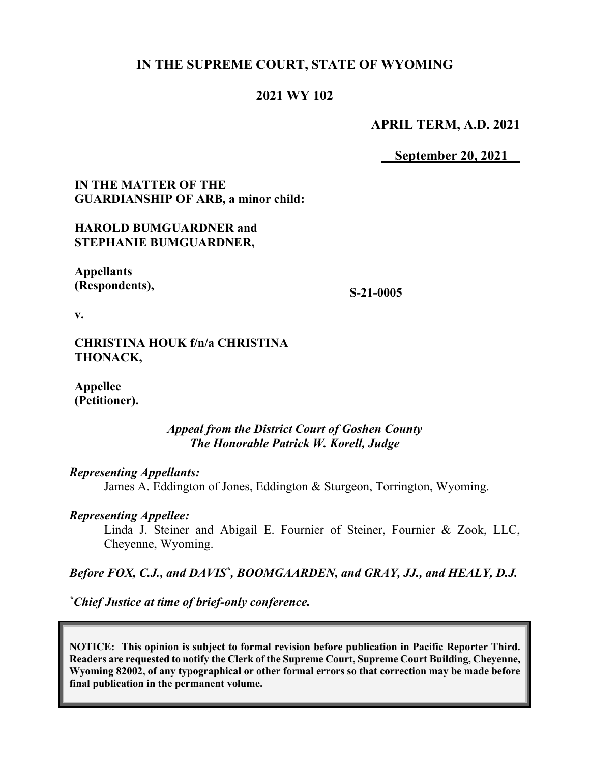# **IN THE SUPREME COURT, STATE OF WYOMING**

## **2021 WY 102**

## **APRIL TERM, A.D. 2021**

**September 20, 2021**

### **IN THE MATTER OF THE GUARDIANSHIP OF ARB, a minor child:**

### **HAROLD BUMGUARDNER and STEPHANIE BUMGUARDNER,**

**Appellants (Respondents),**

**S-21-0005**

**v.**

**CHRISTINA HOUK f/n/a CHRISTINA THONACK,**

**Appellee (Petitioner).**

#### *Appeal from the District Court of Goshen County The Honorable Patrick W. Korell, Judge*

#### *Representing Appellants:*

James A. Eddington of Jones, Eddington & Sturgeon, Torrington, Wyoming.

#### *Representing Appellee:*

Linda J. Steiner and Abigail E. Fournier of Steiner, Fournier & Zook, LLC, Cheyenne, Wyoming.

## Before FOX, C.J., and DAVIS<sup>\*</sup>, BOOMGAARDEN, and GRAY, JJ., and HEALY, D.J.

*\* Chief Justice at time of brief-only conference.*

**NOTICE: This opinion is subject to formal revision before publication in Pacific Reporter Third. Readers are requested to notify the Clerk of the Supreme Court, Supreme Court Building, Cheyenne, Wyoming 82002, of any typographical or other formal errors so that correction may be made before final publication in the permanent volume.**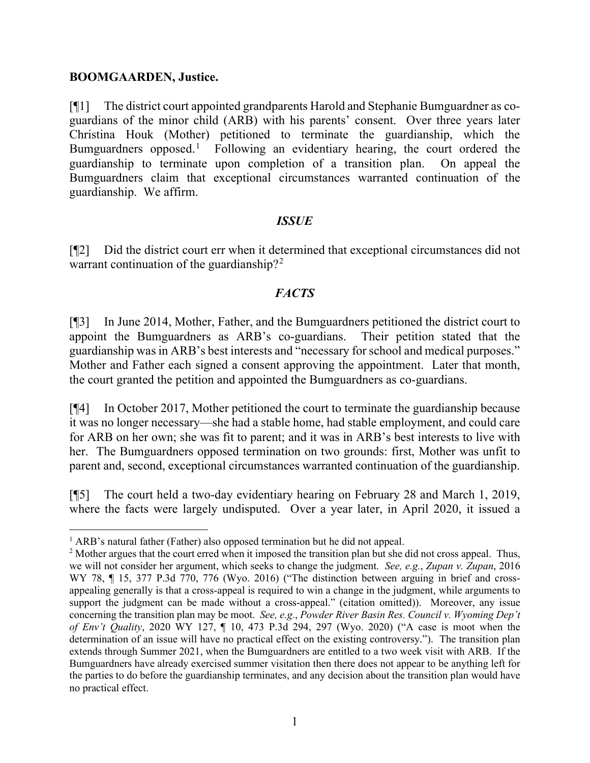#### **BOOMGAARDEN, Justice.**

[¶1] The district court appointed grandparents Harold and Stephanie Bumguardner as coguardians of the minor child (ARB) with his parents' consent. Over three years later Christina Houk (Mother) petitioned to terminate the guardianship, which the Bumguardners opposed.<sup>[1](#page-1-0)</sup> Following an evidentiary hearing, the court ordered the guardianship to terminate upon completion of a transition plan. On appeal the Bumguardners claim that exceptional circumstances warranted continuation of the guardianship. We affirm.

#### *ISSUE*

[¶2] Did the district court err when it determined that exceptional circumstances did not warrant continuation of the guardianship?<sup>[2](#page-1-1)</sup>

#### *FACTS*

[¶3] In June 2014, Mother, Father, and the Bumguardners petitioned the district court to appoint the Bumguardners as ARB's co-guardians. Their petition stated that the guardianship was in ARB's best interests and "necessary for school and medical purposes." Mother and Father each signed a consent approving the appointment. Later that month, the court granted the petition and appointed the Bumguardners as co-guardians.

[¶4] In October 2017, Mother petitioned the court to terminate the guardianship because it was no longer necessary—she had a stable home, had stable employment, and could care for ARB on her own; she was fit to parent; and it was in ARB's best interests to live with her. The Bumguardners opposed termination on two grounds: first, Mother was unfit to parent and, second, exceptional circumstances warranted continuation of the guardianship.

[¶5] The court held a two-day evidentiary hearing on February 28 and March 1, 2019, where the facts were largely undisputed. Over a year later, in April 2020, it issued a

<span id="page-1-1"></span><span id="page-1-0"></span><sup>&</sup>lt;sup>1</sup> ARB's natural father (Father) also opposed termination but he did not appeal.<br><sup>2</sup> Mother argues that the court erred when it imposed the transition plan but she did not cross appeal. Thus, we will not consider her argument, which seeks to change the judgment. *See, e.g.*, *Zupan v. Zupan*, 2016 WY 78,  $\P$  15, 377 P.3d 770, 776 (Wyo. 2016) ("The distinction between arguing in brief and crossappealing generally is that a cross-appeal is required to win a change in the judgment, while arguments to support the judgment can be made without a cross-appeal." (citation omitted)). Moreover, any issue concerning the transition plan may be moot. *See, e.g.*, *Powder River Basin Res. Council v. Wyoming Dep't of Env't Quality*, 2020 WY 127, ¶ 10, 473 P.3d 294, 297 (Wyo. 2020) ("A case is moot when the determination of an issue will have no practical effect on the existing controversy."). The transition plan extends through Summer 2021, when the Bumguardners are entitled to a two week visit with ARB. If the Bumguardners have already exercised summer visitation then there does not appear to be anything left for the parties to do before the guardianship terminates, and any decision about the transition plan would have no practical effect.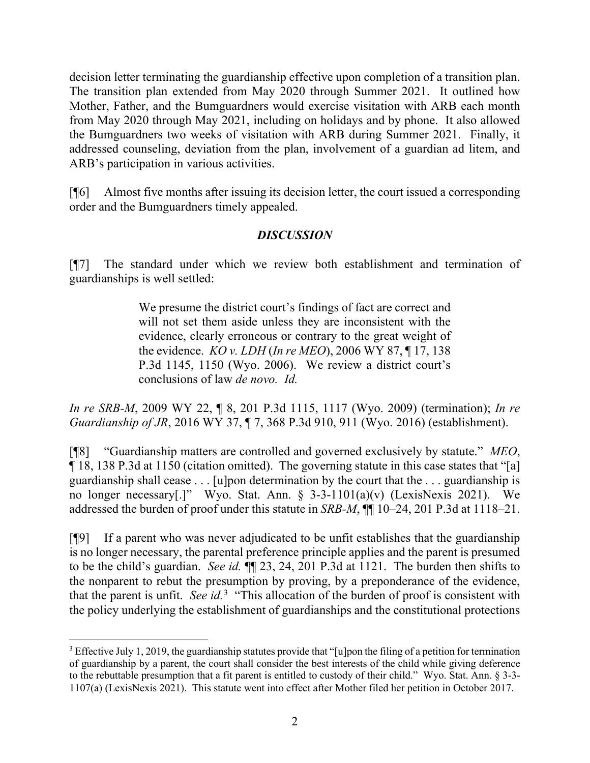decision letter terminating the guardianship effective upon completion of a transition plan. The transition plan extended from May 2020 through Summer 2021. It outlined how Mother, Father, and the Bumguardners would exercise visitation with ARB each month from May 2020 through May 2021, including on holidays and by phone. It also allowed the Bumguardners two weeks of visitation with ARB during Summer 2021. Finally, it addressed counseling, deviation from the plan, involvement of a guardian ad litem, and ARB's participation in various activities.

[¶6] Almost five months after issuing its decision letter, the court issued a corresponding order and the Bumguardners timely appealed.

## *DISCUSSION*

[¶7] The standard under which we review both establishment and termination of guardianships is well settled:

> We presume the district court's findings of fact are correct and will not set them aside unless they are inconsistent with the evidence, clearly erroneous or contrary to the great weight of the evidence. *KO v. LDH* (*In re MEO*), 2006 WY 87, ¶ 17, 138 P.3d 1145, 1150 (Wyo. 2006). We review a district court's conclusions of law *de novo. Id.*

*In re SRB-M*, 2009 WY 22, ¶ 8, 201 P.3d 1115, 1117 (Wyo. 2009) (termination); *In re Guardianship of JR*, 2016 WY 37, ¶ 7, 368 P.3d 910, 911 (Wyo. 2016) (establishment).

[¶8] "Guardianship matters are controlled and governed exclusively by statute." *MEO*, ¶ 18, 138 P.3d at 1150 (citation omitted). The governing statute in this case states that "[a] guardianship shall cease . . . [u]pon determination by the court that the . . . guardianship is no longer necessary[.]" Wyo. Stat. Ann.  $\S$  3-3-1101(a)(v) (LexisNexis 2021). We addressed the burden of proof under this statute in *SRB-M*, ¶¶ 10–24, 201 P.3d at 1118–21.

[¶9] If a parent who was never adjudicated to be unfit establishes that the guardianship is no longer necessary, the parental preference principle applies and the parent is presumed to be the child's guardian. *See id.* ¶¶ 23, 24, 201 P.3d at 1121. The burden then shifts to the nonparent to rebut the presumption by proving, by a preponderance of the evidence, that the parent is unfit. *See id.*[3](#page-2-0) "This allocation of the burden of proof is consistent with the policy underlying the establishment of guardianships and the constitutional protections

<span id="page-2-0"></span><sup>&</sup>lt;sup>3</sup> Effective July 1, 2019, the guardianship statutes provide that "[u]pon the filing of a petition for termination of guardianship by a parent, the court shall consider the best interests of the child while giving deference to the rebuttable presumption that a fit parent is entitled to custody of their child." Wyo. Stat. Ann. § 3-3- 1107(a) (LexisNexis 2021). This statute went into effect after Mother filed her petition in October 2017.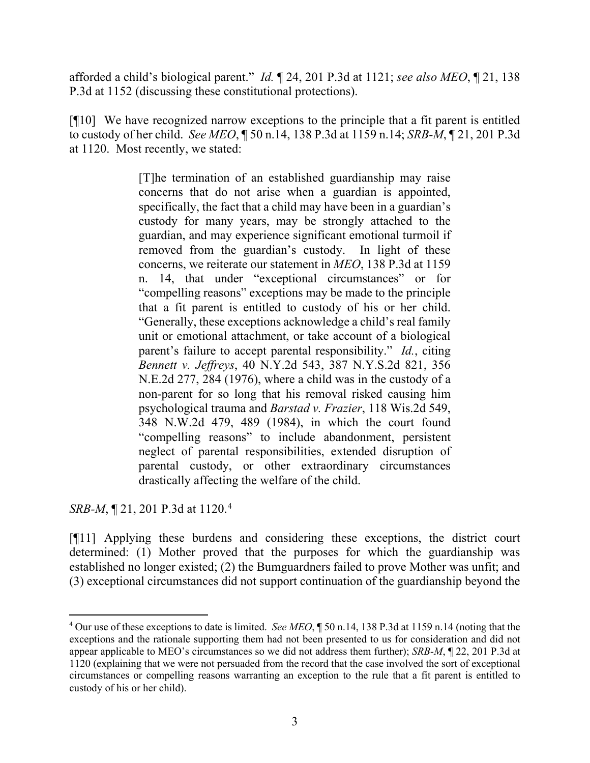afforded a child's biological parent." *Id.* ¶ 24, 201 P.3d at 1121; *see also MEO*, ¶ 21, 138 P.3d at 1152 (discussing these constitutional protections).

[¶10] We have recognized narrow exceptions to the principle that a fit parent is entitled to custody of her child. *See MEO*, ¶ 50 n.14, 138 P.3d at 1159 n.14; *SRB-M*, ¶ 21, 201 P.3d at 1120. Most recently, we stated:

> [T]he termination of an established guardianship may raise concerns that do not arise when a guardian is appointed, specifically, the fact that a child may have been in a guardian's custody for many years, may be strongly attached to the guardian, and may experience significant emotional turmoil if removed from the guardian's custody. In light of these concerns, we reiterate our statement in *MEO*, 138 P.3d at 1159 n. 14, that under "exceptional circumstances" or for "compelling reasons" exceptions may be made to the principle that a fit parent is entitled to custody of his or her child. "Generally, these exceptions acknowledge a child's real family unit or emotional attachment, or take account of a biological parent's failure to accept parental responsibility." *Id.*, citing *Bennett v. Jeffreys*, 40 N.Y.2d 543, 387 N.Y.S.2d 821, 356 N.E.2d 277, 284 (1976), where a child was in the custody of a non-parent for so long that his removal risked causing him psychological trauma and *Barstad v. Frazier*, 118 Wis.2d 549, 348 N.W.2d 479, 489 (1984), in which the court found "compelling reasons" to include abandonment, persistent neglect of parental responsibilities, extended disruption of parental custody, or other extraordinary circumstances drastically affecting the welfare of the child.

*SRB-M*, ¶ 21, 201 P.3d at 1120. [4](#page-3-0)

[¶11] Applying these burdens and considering these exceptions, the district court determined: (1) Mother proved that the purposes for which the guardianship was established no longer existed; (2) the Bumguardners failed to prove Mother was unfit; and (3) exceptional circumstances did not support continuation of the guardianship beyond the

<span id="page-3-0"></span><sup>4</sup> Our use of these exceptions to date is limited. *See MEO*, ¶ 50 n.14, 138 P.3d at 1159 n.14 (noting that the exceptions and the rationale supporting them had not been presented to us for consideration and did not appear applicable to MEO's circumstances so we did not address them further); *SRB-M*, ¶ 22, 201 P.3d at 1120 (explaining that we were not persuaded from the record that the case involved the sort of exceptional circumstances or compelling reasons warranting an exception to the rule that a fit parent is entitled to custody of his or her child).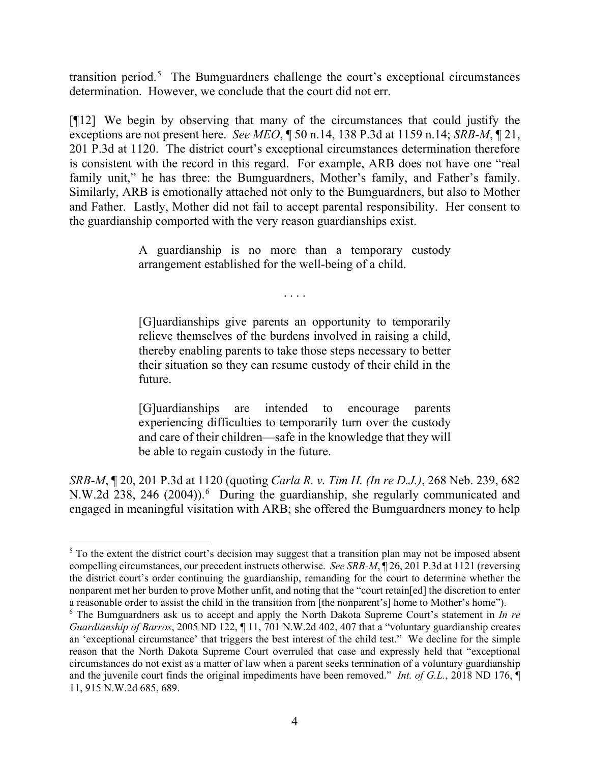transition period.<sup>[5](#page-4-0)</sup> The Bumguardners challenge the court's exceptional circumstances determination. However, we conclude that the court did not err.

[¶12] We begin by observing that many of the circumstances that could justify the exceptions are not present here. *See MEO*, ¶ 50 n.14, 138 P.3d at 1159 n.14; *SRB-M*, ¶ 21, 201 P.3d at 1120. The district court's exceptional circumstances determination therefore is consistent with the record in this regard. For example, ARB does not have one "real family unit," he has three: the Bumguardners, Mother's family, and Father's family. Similarly, ARB is emotionally attached not only to the Bumguardners, but also to Mother and Father. Lastly, Mother did not fail to accept parental responsibility. Her consent to the guardianship comported with the very reason guardianships exist.

> A guardianship is no more than a temporary custody arrangement established for the well-being of a child.

> > . . . .

[G]uardianships give parents an opportunity to temporarily relieve themselves of the burdens involved in raising a child, thereby enabling parents to take those steps necessary to better their situation so they can resume custody of their child in the future.

[G]uardianships are intended to encourage parents experiencing difficulties to temporarily turn over the custody and care of their children—safe in the knowledge that they will be able to regain custody in the future.

*SRB-M*, ¶ 20, 201 P.3d at 1120 (quoting *Carla R. v. Tim H. (In re D.J.)*, 268 Neb. 239, 682 N.W.2d 238, 24[6](#page-4-1) (2004)).<sup>6</sup> During the guardianship, she regularly communicated and engaged in meaningful visitation with ARB; she offered the Bumguardners money to help

<span id="page-4-0"></span><sup>&</sup>lt;sup>5</sup> To the extent the district court's decision may suggest that a transition plan may not be imposed absent compelling circumstances, our precedent instructs otherwise. *See SRB-M*, ¶ 26, 201 P.3d at 1121 (reversing the district court's order continuing the guardianship, remanding for the court to determine whether the nonparent met her burden to prove Mother unfit, and noting that the "court retain[ed] the discretion to enter a reasonable order to assist the child in the transition from [the nonparent's] home to Mother's home").

<span id="page-4-1"></span><sup>6</sup> The Bumguardners ask us to accept and apply the North Dakota Supreme Court's statement in *In re Guardianship of Barros*, 2005 ND 122,  $\P$  11, 701 N.W.2d 402, 407 that a "voluntary guardianship creates an 'exceptional circumstance' that triggers the best interest of the child test." We decline for the simple reason that the North Dakota Supreme Court overruled that case and expressly held that "exceptional circumstances do not exist as a matter of law when a parent seeks termination of a voluntary guardianship and the juvenile court finds the original impediments have been removed." *Int. of G.L.*, 2018 ND 176, ¶ 11, 915 N.W.2d 685, 689.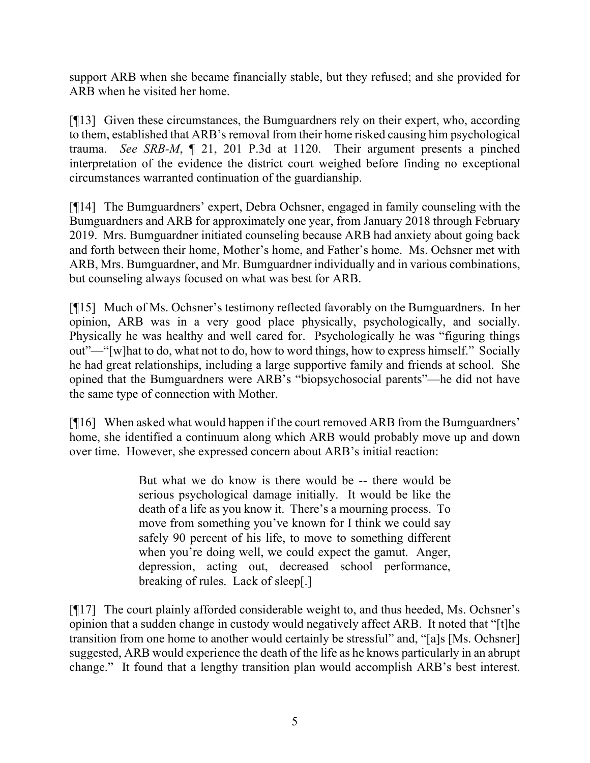support ARB when she became financially stable, but they refused; and she provided for ARB when he visited her home.

[¶13] Given these circumstances, the Bumguardners rely on their expert, who, according to them, established that ARB's removal from their home risked causing him psychological trauma. *See SRB-M*, ¶ 21, 201 P.3d at 1120. Their argument presents a pinched interpretation of the evidence the district court weighed before finding no exceptional circumstances warranted continuation of the guardianship.

[¶14] The Bumguardners' expert, Debra Ochsner, engaged in family counseling with the Bumguardners and ARB for approximately one year, from January 2018 through February 2019. Mrs. Bumguardner initiated counseling because ARB had anxiety about going back and forth between their home, Mother's home, and Father's home. Ms. Ochsner met with ARB, Mrs. Bumguardner, and Mr. Bumguardner individually and in various combinations, but counseling always focused on what was best for ARB.

[¶15] Much of Ms. Ochsner's testimony reflected favorably on the Bumguardners. In her opinion, ARB was in a very good place physically, psychologically, and socially. Physically he was healthy and well cared for. Psychologically he was "figuring things out"—"[w]hat to do, what not to do, how to word things, how to express himself." Socially he had great relationships, including a large supportive family and friends at school. She opined that the Bumguardners were ARB's "biopsychosocial parents"—he did not have the same type of connection with Mother.

[¶16] When asked what would happen if the court removed ARB from the Bumguardners' home, she identified a continuum along which ARB would probably move up and down over time. However, she expressed concern about ARB's initial reaction:

> But what we do know is there would be -- there would be serious psychological damage initially. It would be like the death of a life as you know it. There's a mourning process. To move from something you've known for I think we could say safely 90 percent of his life, to move to something different when you're doing well, we could expect the gamut. Anger, depression, acting out, decreased school performance, breaking of rules. Lack of sleep[.]

[¶17] The court plainly afforded considerable weight to, and thus heeded, Ms. Ochsner's opinion that a sudden change in custody would negatively affect ARB. It noted that "[t]he transition from one home to another would certainly be stressful" and, "[a]s [Ms. Ochsner] suggested, ARB would experience the death of the life as he knows particularly in an abrupt change." It found that a lengthy transition plan would accomplish ARB's best interest.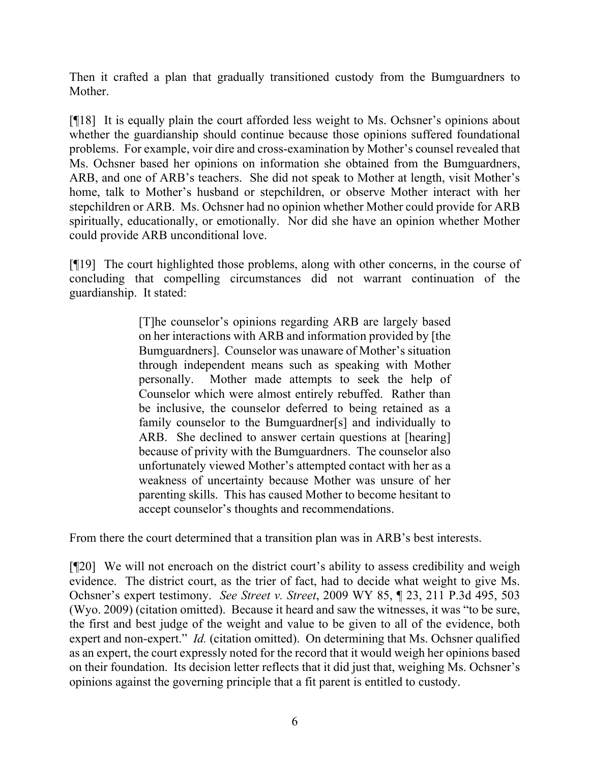Then it crafted a plan that gradually transitioned custody from the Bumguardners to Mother.

[¶18] It is equally plain the court afforded less weight to Ms. Ochsner's opinions about whether the guardianship should continue because those opinions suffered foundational problems. For example, voir dire and cross-examination by Mother's counsel revealed that Ms. Ochsner based her opinions on information she obtained from the Bumguardners, ARB, and one of ARB's teachers. She did not speak to Mother at length, visit Mother's home, talk to Mother's husband or stepchildren, or observe Mother interact with her stepchildren or ARB. Ms. Ochsner had no opinion whether Mother could provide for ARB spiritually, educationally, or emotionally. Nor did she have an opinion whether Mother could provide ARB unconditional love.

[¶19] The court highlighted those problems, along with other concerns, in the course of concluding that compelling circumstances did not warrant continuation of the guardianship. It stated:

> [T]he counselor's opinions regarding ARB are largely based on her interactions with ARB and information provided by [the Bumguardners]. Counselor was unaware of Mother's situation through independent means such as speaking with Mother personally. Mother made attempts to seek the help of Counselor which were almost entirely rebuffed. Rather than be inclusive, the counselor deferred to being retained as a family counselor to the Bumguardner[s] and individually to ARB. She declined to answer certain questions at [hearing] because of privity with the Bumguardners. The counselor also unfortunately viewed Mother's attempted contact with her as a weakness of uncertainty because Mother was unsure of her parenting skills. This has caused Mother to become hesitant to accept counselor's thoughts and recommendations.

From there the court determined that a transition plan was in ARB's best interests.

[¶20] We will not encroach on the district court's ability to assess credibility and weigh evidence. The district court, as the trier of fact, had to decide what weight to give Ms. Ochsner's expert testimony. *See Street v. Street*, 2009 WY 85, ¶ 23, 211 P.3d 495, 503 (Wyo. 2009) (citation omitted). Because it heard and saw the witnesses, it was "to be sure, the first and best judge of the weight and value to be given to all of the evidence, both expert and non-expert." *Id.* (citation omitted). On determining that Ms. Ochsner qualified as an expert, the court expressly noted for the record that it would weigh her opinions based on their foundation. Its decision letter reflects that it did just that, weighing Ms. Ochsner's opinions against the governing principle that a fit parent is entitled to custody.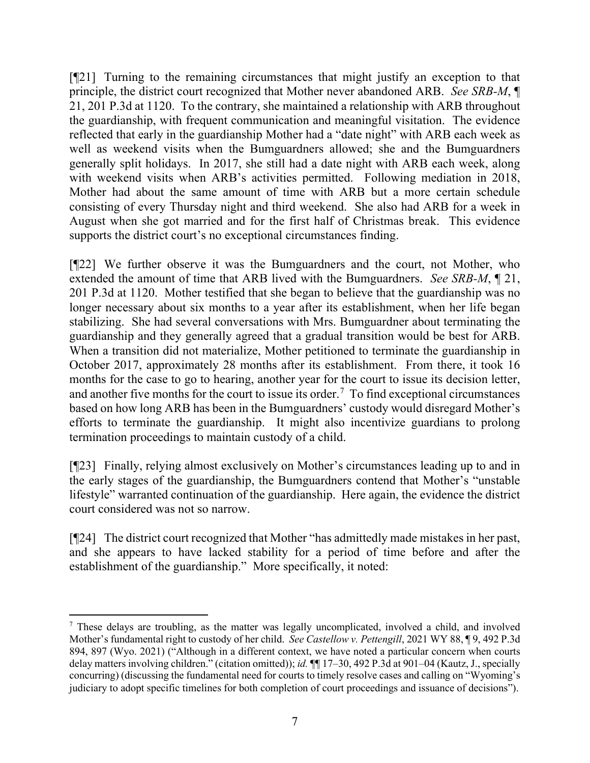[¶21] Turning to the remaining circumstances that might justify an exception to that principle, the district court recognized that Mother never abandoned ARB. *See SRB-M*, ¶ 21, 201 P.3d at 1120. To the contrary, she maintained a relationship with ARB throughout the guardianship, with frequent communication and meaningful visitation. The evidence reflected that early in the guardianship Mother had a "date night" with ARB each week as well as weekend visits when the Bumguardners allowed; she and the Bumguardners generally split holidays. In 2017, she still had a date night with ARB each week, along with weekend visits when ARB's activities permitted. Following mediation in 2018, Mother had about the same amount of time with ARB but a more certain schedule consisting of every Thursday night and third weekend. She also had ARB for a week in August when she got married and for the first half of Christmas break. This evidence supports the district court's no exceptional circumstances finding.

[¶22] We further observe it was the Bumguardners and the court, not Mother, who extended the amount of time that ARB lived with the Bumguardners. *See SRB-M*, ¶ 21, 201 P.3d at 1120. Mother testified that she began to believe that the guardianship was no longer necessary about six months to a year after its establishment, when her life began stabilizing. She had several conversations with Mrs. Bumguardner about terminating the guardianship and they generally agreed that a gradual transition would be best for ARB. When a transition did not materialize, Mother petitioned to terminate the guardianship in October 2017, approximately 28 months after its establishment. From there, it took 16 months for the case to go to hearing, another year for the court to issue its decision letter, and another five months for the court to issue its order.<sup>[7](#page-7-0)</sup> To find exceptional circumstances based on how long ARB has been in the Bumguardners' custody would disregard Mother's efforts to terminate the guardianship. It might also incentivize guardians to prolong termination proceedings to maintain custody of a child.

[¶23] Finally, relying almost exclusively on Mother's circumstances leading up to and in the early stages of the guardianship, the Bumguardners contend that Mother's "unstable lifestyle" warranted continuation of the guardianship. Here again, the evidence the district court considered was not so narrow.

[¶24] The district court recognized that Mother "has admittedly made mistakes in her past, and she appears to have lacked stability for a period of time before and after the establishment of the guardianship." More specifically, it noted:

<span id="page-7-0"></span><sup>7</sup> These delays are troubling, as the matter was legally uncomplicated, involved a child, and involved Mother's fundamental right to custody of her child. *See Castellow v. Pettengill*, 2021 WY 88, ¶ 9, 492 P.3d 894, 897 (Wyo. 2021) ("Although in a different context, we have noted a particular concern when courts delay matters involving children." (citation omitted)); *id.*  $\P$  17–30, 492 P.3d at 901–04 (Kautz, J., specially concurring) (discussing the fundamental need for courts to timely resolve cases and calling on "Wyoming's judiciary to adopt specific timelines for both completion of court proceedings and issuance of decisions").